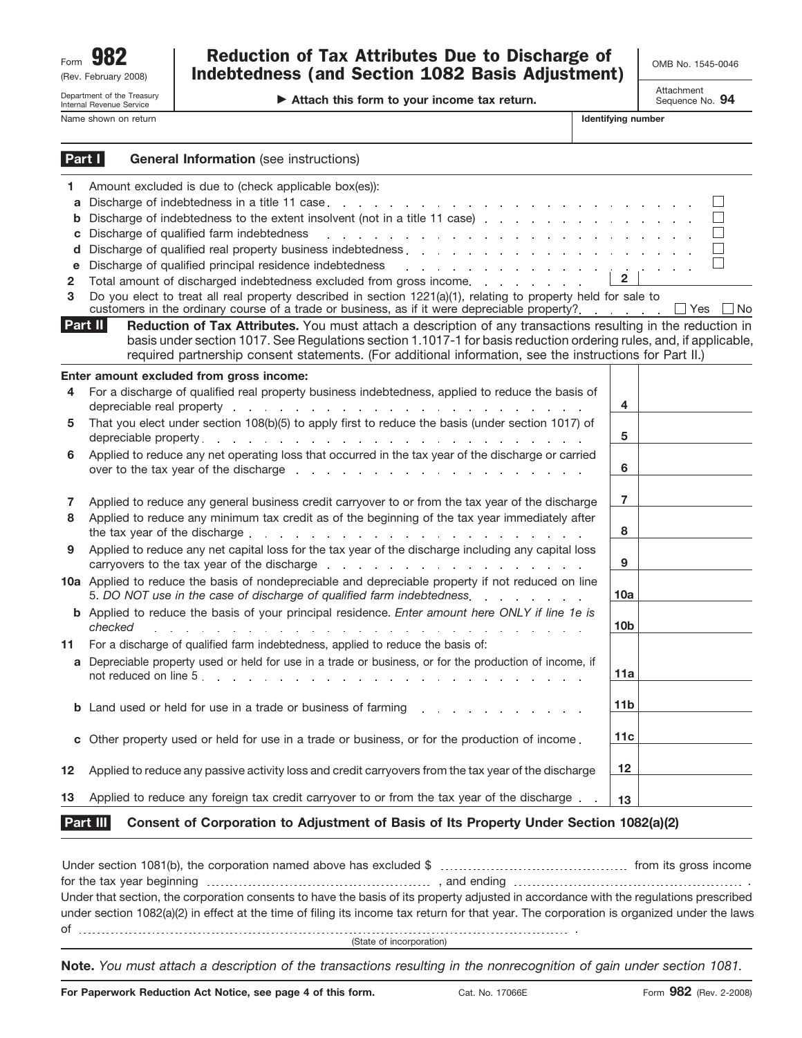

Department of the Treasury<br>Internal Revenue Service

## Form  $982$  | Reduction of Tax Attributes Due to Discharge of  $\Box$  OMB No. 1545-0046 Indebtedness (and Section 1082 Basis Adjustment)

▶ Attach this form to your income tax return.

Attachment Sequence No. **94**

Name shown on return **Identifying number Identifying number Identifying number** 

| Part I                                          | <b>General Information</b> (see instructions)                                                                                                                                                                                                                                                                                                                                                                                                                                                                                                                                                                                                                                                                                                                                                                                                                                                                                                                                                                                                                                                                                                                                                                                                                                                                                                                 |                         |                   |
|-------------------------------------------------|---------------------------------------------------------------------------------------------------------------------------------------------------------------------------------------------------------------------------------------------------------------------------------------------------------------------------------------------------------------------------------------------------------------------------------------------------------------------------------------------------------------------------------------------------------------------------------------------------------------------------------------------------------------------------------------------------------------------------------------------------------------------------------------------------------------------------------------------------------------------------------------------------------------------------------------------------------------------------------------------------------------------------------------------------------------------------------------------------------------------------------------------------------------------------------------------------------------------------------------------------------------------------------------------------------------------------------------------------------------|-------------------------|-------------------|
| 1<br>a<br>b<br>C<br>d<br>e<br>$\mathbf{2}$<br>3 | Amount excluded is due to (check applicable box(es)):<br>Discharge of indebtedness to the extent insolvent (not in a title 11 case)<br>Discharge of qualified farm indebtedness<br>and the contract of the contract of the contract of the contract of the contract of<br>Discharge of qualified real property business indebtedness enter a contract of the state of the state of the state of the state of the state of the state of the state of the state of the state of the state of the state of<br>Discharge of qualified principal residence indebtedness<br>فالمتابع والمراوي والمتابع والمتابع والمتابع والمتابع والمتابع والمتابع والمتابع والمتابع والمتابع والمتابع<br>Total amount of discharged indebtedness excluded from gross income.<br>Do you elect to treat all real property described in section 1221(a)(1), relating to property held for sale to<br>customers in the ordinary course of a trade or business, as if it were depreciable property?. $\Box$ Yes $\Box$ No<br>Part II<br>Reduction of Tax Attributes. You must attach a description of any transactions resulting in the reduction in<br>basis under section 1017. See Regulations section 1.1017-1 for basis reduction ordering rules, and, if applicable,<br>required partnership consent statements. (For additional information, see the instructions for Part II.) | $2^{\circ}$             | $\vert \ \ \vert$ |
|                                                 | Enter amount excluded from gross income:                                                                                                                                                                                                                                                                                                                                                                                                                                                                                                                                                                                                                                                                                                                                                                                                                                                                                                                                                                                                                                                                                                                                                                                                                                                                                                                      |                         |                   |
| 4                                               | For a discharge of qualified real property business indebtedness, applied to reduce the basis of                                                                                                                                                                                                                                                                                                                                                                                                                                                                                                                                                                                                                                                                                                                                                                                                                                                                                                                                                                                                                                                                                                                                                                                                                                                              | $\overline{\mathbf{4}}$ |                   |
| 5                                               | That you elect under section 108(b)(5) to apply first to reduce the basis (under section 1017) of                                                                                                                                                                                                                                                                                                                                                                                                                                                                                                                                                                                                                                                                                                                                                                                                                                                                                                                                                                                                                                                                                                                                                                                                                                                             | 5                       |                   |
| 6                                               | Applied to reduce any net operating loss that occurred in the tax year of the discharge or carried<br>over to the tax year of the discharge resolution of the state of the discharge resolution of the state of the state of the state of the state of the state of the state of the state of the state of the state of the state of                                                                                                                                                                                                                                                                                                                                                                                                                                                                                                                                                                                                                                                                                                                                                                                                                                                                                                                                                                                                                          | 6                       |                   |
| 7<br>8                                          | Applied to reduce any general business credit carryover to or from the tax year of the discharge<br>Applied to reduce any minimum tax credit as of the beginning of the tax year immediately after                                                                                                                                                                                                                                                                                                                                                                                                                                                                                                                                                                                                                                                                                                                                                                                                                                                                                                                                                                                                                                                                                                                                                            | $\overline{7}$<br>8     |                   |
| 9                                               | Applied to reduce any net capital loss for the tax year of the discharge including any capital loss                                                                                                                                                                                                                                                                                                                                                                                                                                                                                                                                                                                                                                                                                                                                                                                                                                                                                                                                                                                                                                                                                                                                                                                                                                                           | 9                       |                   |
|                                                 | 10a Applied to reduce the basis of nondepreciable and depreciable property if not reduced on line<br>5. DO NOT use in the case of discharge of qualified farm indebtedness.                                                                                                                                                                                                                                                                                                                                                                                                                                                                                                                                                                                                                                                                                                                                                                                                                                                                                                                                                                                                                                                                                                                                                                                   | 10a                     |                   |
|                                                 | <b>b</b> Applied to reduce the basis of your principal residence. Enter amount here ONLY if line 1e is<br>checked<br>a na mana na mana na mana na mana na mana na mana na mana na mana na mana na mana na mana na mana na mana na                                                                                                                                                                                                                                                                                                                                                                                                                                                                                                                                                                                                                                                                                                                                                                                                                                                                                                                                                                                                                                                                                                                             | 10 <sub>b</sub>         |                   |
| 11                                              | For a discharge of qualified farm indebtedness, applied to reduce the basis of:<br>a Depreciable property used or held for use in a trade or business, or for the production of income, if                                                                                                                                                                                                                                                                                                                                                                                                                                                                                                                                                                                                                                                                                                                                                                                                                                                                                                                                                                                                                                                                                                                                                                    | 11a                     |                   |
|                                                 | <b>b</b> Land used or held for use in a trade or business of farming                                                                                                                                                                                                                                                                                                                                                                                                                                                                                                                                                                                                                                                                                                                                                                                                                                                                                                                                                                                                                                                                                                                                                                                                                                                                                          | 11 <sub>b</sub>         |                   |
| С                                               | Other property used or held for use in a trade or business, or for the production of income.                                                                                                                                                                                                                                                                                                                                                                                                                                                                                                                                                                                                                                                                                                                                                                                                                                                                                                                                                                                                                                                                                                                                                                                                                                                                  | 11c                     |                   |
| $12 \overline{ }$                               | Applied to reduce any passive activity loss and credit carryovers from the tax year of the discharge                                                                                                                                                                                                                                                                                                                                                                                                                                                                                                                                                                                                                                                                                                                                                                                                                                                                                                                                                                                                                                                                                                                                                                                                                                                          | $12 \overline{ }$       |                   |
| 13                                              | Applied to reduce any foreign tax credit carryover to or from the tax year of the discharge                                                                                                                                                                                                                                                                                                                                                                                                                                                                                                                                                                                                                                                                                                                                                                                                                                                                                                                                                                                                                                                                                                                                                                                                                                                                   | 13                      |                   |

#### **Consent of Corporation to Adjustment of Basis of Its Property Under Section 1082(a)(2) Part III**

Under section 1081(b), the corporation named above has excluded \$ from its gross income for the tax year beginning , and ending . Under that section, the corporation consents to have the basis of its property adjusted in accordance with the regulations prescribed under section 1082(a)(2) in effect at the time of filing its income tax return for that year. The corporation is organized under the laws of . (State of incorporation)

**Note.** *You must attach a description of the transactions resulting in the nonrecognition of gain under section 1081.*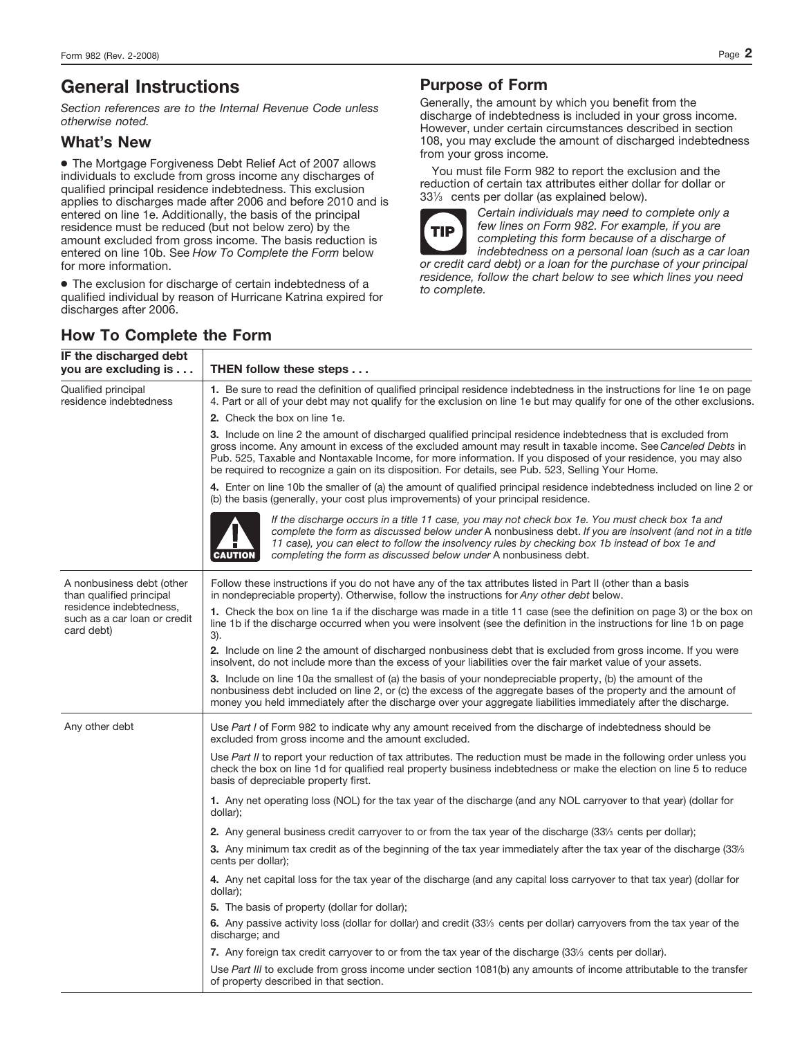# **General Instructions**

*Section references are to the Internal Revenue Code unless otherwise noted.*

### **What's New**

● The Mortgage Forgiveness Debt Relief Act of 2007 allows individuals to exclude from gross income any discharges of qualified principal residence indebtedness. This exclusion applies to discharges made after 2006 and before 2010 and is entered on line 1e. Additionally, the basis of the principal residence must be reduced (but not below zero) by the amount excluded from gross income. The basis reduction is entered on line 10b. See *How To Complete the Form* below for more information.

● The exclusion for discharge of certain indebtedness of a qualified individual by reason of Hurricane Katrina expired for discharges after 2006.

## **Purpose of Form**

Generally, the amount by which you benefit from the discharge of indebtedness is included in your gross income. However, under certain circumstances described in section 108, you may exclude the amount of discharged indebtedness from your gross income.

You must file Form 982 to report the exclusion and the reduction of certain tax attributes either dollar for dollar or 331⁄3 cents per dollar (as explained below).



*Certain individuals may need to complete only a few lines on Form 982. For example, if you are completing this form because of a discharge of indebtedness on a personal loan (such as a car loan*

*or credit card debt) or a loan for the purchase of your principal residence, follow the chart below to see which lines you need to complete.*

| IF the discharged debt<br>you are excluding is                        | <b>THEN follow these steps</b>                                                                                                                                                                                                                                                                                                                                                                                                                                |  |  |  |
|-----------------------------------------------------------------------|---------------------------------------------------------------------------------------------------------------------------------------------------------------------------------------------------------------------------------------------------------------------------------------------------------------------------------------------------------------------------------------------------------------------------------------------------------------|--|--|--|
| Qualified principal<br>residence indebtedness                         | 1. Be sure to read the definition of qualified principal residence indebtedness in the instructions for line 1e on page<br>4. Part or all of your debt may not qualify for the exclusion on line 1e but may qualify for one of the other exclusions.                                                                                                                                                                                                          |  |  |  |
|                                                                       | 2. Check the box on line 1e.                                                                                                                                                                                                                                                                                                                                                                                                                                  |  |  |  |
|                                                                       | <b>3.</b> Include on line 2 the amount of discharged qualified principal residence indebtedness that is excluded from<br>gross income. Any amount in excess of the excluded amount may result in taxable income. See Canceled Debts in<br>Pub. 525, Taxable and Nontaxable Income, for more information. If you disposed of your residence, you may also<br>be required to recognize a gain on its disposition. For details, see Pub. 523, Selling Your Home. |  |  |  |
|                                                                       | 4. Enter on line 10b the smaller of (a) the amount of qualified principal residence indebtedness included on line 2 or<br>(b) the basis (generally, your cost plus improvements) of your principal residence.                                                                                                                                                                                                                                                 |  |  |  |
|                                                                       | If the discharge occurs in a title 11 case, you may not check box 1e. You must check box 1a and<br>complete the form as discussed below under A nonbusiness debt. If you are insolvent (and not in a title<br>11 case), you can elect to follow the insolvency rules by checking box 1b instead of box 1e and<br>completing the form as discussed below under A nonbusiness debt.<br>CAUTION                                                                  |  |  |  |
| A nonbusiness debt (other<br>than qualified principal                 | Follow these instructions if you do not have any of the tax attributes listed in Part II (other than a basis<br>in nondepreciable property). Otherwise, follow the instructions for Any other debt below.                                                                                                                                                                                                                                                     |  |  |  |
| residence indebtedness.<br>such as a car loan or credit<br>card debt) | 1. Check the box on line 1a if the discharge was made in a title 11 case (see the definition on page 3) or the box on<br>line 1b if the discharge occurred when you were insolvent (see the definition in the instructions for line 1b on page<br>3).                                                                                                                                                                                                         |  |  |  |
|                                                                       | 2. Include on line 2 the amount of discharged nonbusiness debt that is excluded from gross income. If you were<br>insolvent, do not include more than the excess of your liabilities over the fair market value of your assets.                                                                                                                                                                                                                               |  |  |  |
|                                                                       | 3. Include on line 10a the smallest of (a) the basis of your nondepreciable property, (b) the amount of the<br>nonbusiness debt included on line 2, or (c) the excess of the aggregate bases of the property and the amount of<br>money you held immediately after the discharge over your aggregate liabilities immediately after the discharge.                                                                                                             |  |  |  |
| Any other debt                                                        | Use Part I of Form 982 to indicate why any amount received from the discharge of indebtedness should be<br>excluded from gross income and the amount excluded.                                                                                                                                                                                                                                                                                                |  |  |  |
|                                                                       | Use Part II to report your reduction of tax attributes. The reduction must be made in the following order unless you<br>check the box on line 1d for qualified real property business indebtedness or make the election on line 5 to reduce<br>basis of depreciable property first.                                                                                                                                                                           |  |  |  |
|                                                                       | 1. Any net operating loss (NOL) for the tax year of the discharge (and any NOL carryover to that year) (dollar for<br>dollar);                                                                                                                                                                                                                                                                                                                                |  |  |  |
|                                                                       | 2. Any general business credit carryover to or from the tax year of the discharge (33 <sup>/3</sup> cents per dollar);                                                                                                                                                                                                                                                                                                                                        |  |  |  |
|                                                                       | 3. Any minimum tax credit as of the beginning of the tax year immediately after the tax year of the discharge (33%)<br>cents per dollar);                                                                                                                                                                                                                                                                                                                     |  |  |  |
|                                                                       | 4. Any net capital loss for the tax year of the discharge (and any capital loss carryover to that tax year) (dollar for<br>dollar);                                                                                                                                                                                                                                                                                                                           |  |  |  |
|                                                                       | 5. The basis of property (dollar for dollar);                                                                                                                                                                                                                                                                                                                                                                                                                 |  |  |  |
|                                                                       | 6. Any passive activity loss (dollar for dollar) and credit (33 <sup>1/3</sup> cents per dollar) carryovers from the tax year of the<br>discharge; and                                                                                                                                                                                                                                                                                                        |  |  |  |
|                                                                       | 7. Any foreign tax credit carryover to or from the tax year of the discharge (33% cents per dollar).                                                                                                                                                                                                                                                                                                                                                          |  |  |  |
|                                                                       | Use Part III to exclude from gross income under section 1081(b) any amounts of income attributable to the transfer<br>of property described in that section.                                                                                                                                                                                                                                                                                                  |  |  |  |

### **How To Complete the Form**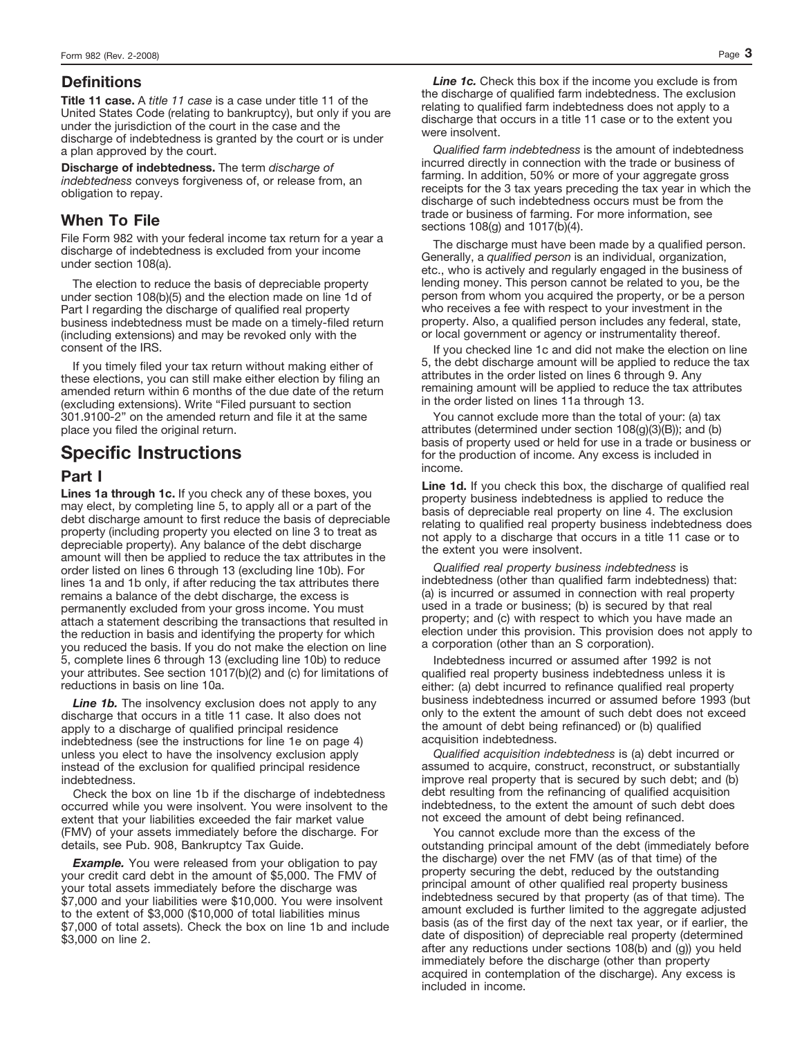#### **Definitions**

**Title 11 case.** A *title 11 case* is a case under title 11 of the United States Code (relating to bankruptcy), but only if you are under the jurisdiction of the court in the case and the discharge of indebtedness is granted by the court or is under a plan approved by the court.

**Discharge of indebtedness.** The term *discharge of indebtedness* conveys forgiveness of, or release from, an obligation to repay.

#### **When To File**

File Form 982 with your federal income tax return for a year a discharge of indebtedness is excluded from your income under section 108(a).

The election to reduce the basis of depreciable property under section 108(b)(5) and the election made on line 1d of Part I regarding the discharge of qualified real property business indebtedness must be made on a timely-filed return (including extensions) and may be revoked only with the consent of the IRS.

If you timely filed your tax return without making either of these elections, you can still make either election by filing an amended return within 6 months of the due date of the return (excluding extensions). Write "Filed pursuant to section 301.9100-2" on the amended return and file it at the same place you filed the original return.

## **Specific Instructions**

#### **Part I**

**Lines 1a through 1c.** If you check any of these boxes, you may elect, by completing line 5, to apply all or a part of the debt discharge amount to first reduce the basis of depreciable property (including property you elected on line 3 to treat as depreciable property). Any balance of the debt discharge amount will then be applied to reduce the tax attributes in the order listed on lines 6 through 13 (excluding line 10b). For lines 1a and 1b only, if after reducing the tax attributes there remains a balance of the debt discharge, the excess is permanently excluded from your gross income. You must attach a statement describing the transactions that resulted in the reduction in basis and identifying the property for which you reduced the basis. If you do not make the election on line 5, complete lines 6 through 13 (excluding line 10b) to reduce your attributes. See section 1017(b)(2) and (c) for limitations of reductions in basis on line 10a.

**Line 1b.** The insolvency exclusion does not apply to any discharge that occurs in a title 11 case. It also does not apply to a discharge of qualified principal residence indebtedness (see the instructions for line 1e on page 4) unless you elect to have the insolvency exclusion apply instead of the exclusion for qualified principal residence indebtedness.

Check the box on line 1b if the discharge of indebtedness occurred while you were insolvent. You were insolvent to the extent that your liabilities exceeded the fair market value (FMV) of your assets immediately before the discharge. For details, see Pub. 908, Bankruptcy Tax Guide.

**Example.** You were released from your obligation to pay your credit card debt in the amount of \$5,000. The FMV of your total assets immediately before the discharge was \$7,000 and your liabilities were \$10,000. You were insolvent to the extent of \$3,000 (\$10,000 of total liabilities minus \$7,000 of total assets). Check the box on line 1b and include \$3,000 on line 2.

**Line 1c.** Check this box if the income you exclude is from the discharge of qualified farm indebtedness. The exclusion relating to qualified farm indebtedness does not apply to a discharge that occurs in a title 11 case or to the extent you were insolvent.

*Qualified farm indebtedness* is the amount of indebtedness incurred directly in connection with the trade or business of farming. In addition, 50% or more of your aggregate gross receipts for the 3 tax years preceding the tax year in which the discharge of such indebtedness occurs must be from the trade or business of farming. For more information, see sections 108(g) and 1017(b)(4).

The discharge must have been made by a qualified person. Generally, a *qualified person* is an individual, organization, etc., who is actively and regularly engaged in the business of lending money. This person cannot be related to you, be the person from whom you acquired the property, or be a person who receives a fee with respect to your investment in the property. Also, a qualified person includes any federal, state, or local government or agency or instrumentality thereof.

If you checked line 1c and did not make the election on line 5, the debt discharge amount will be applied to reduce the tax attributes in the order listed on lines 6 through 9. Any remaining amount will be applied to reduce the tax attributes in the order listed on lines 11a through 13.

You cannot exclude more than the total of your: (a) tax attributes (determined under section 108(g)(3)(B)); and (b) basis of property used or held for use in a trade or business or for the production of income. Any excess is included in income.

Line 1d. If you check this box, the discharge of qualified real property business indebtedness is applied to reduce the basis of depreciable real property on line 4. The exclusion relating to qualified real property business indebtedness does not apply to a discharge that occurs in a title 11 case or to the extent you were insolvent.

*Qualified real property business indebtedness* is indebtedness (other than qualified farm indebtedness) that: (a) is incurred or assumed in connection with real property used in a trade or business; (b) is secured by that real property; and (c) with respect to which you have made an election under this provision. This provision does not apply to a corporation (other than an S corporation).

Indebtedness incurred or assumed after 1992 is not qualified real property business indebtedness unless it is either: (a) debt incurred to refinance qualified real property business indebtedness incurred or assumed before 1993 (but only to the extent the amount of such debt does not exceed the amount of debt being refinanced) or (b) qualified acquisition indebtedness.

*Qualified acquisition indebtedness* is (a) debt incurred or assumed to acquire, construct, reconstruct, or substantially improve real property that is secured by such debt; and (b) debt resulting from the refinancing of qualified acquisition indebtedness, to the extent the amount of such debt does not exceed the amount of debt being refinanced.

You cannot exclude more than the excess of the outstanding principal amount of the debt (immediately before the discharge) over the net FMV (as of that time) of the property securing the debt, reduced by the outstanding principal amount of other qualified real property business indebtedness secured by that property (as of that time). The amount excluded is further limited to the aggregate adjusted basis (as of the first day of the next tax year, or if earlier, the date of disposition) of depreciable real property (determined after any reductions under sections 108(b) and (g)) you held immediately before the discharge (other than property acquired in contemplation of the discharge). Any excess is included in income.